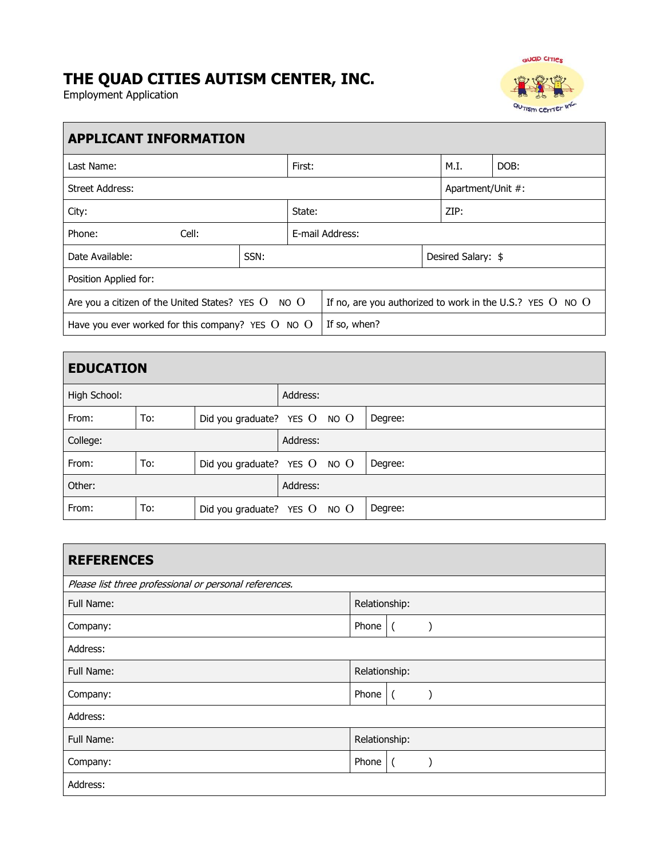# **THE QUAD CITIES AUTISM CENTER, INC.**

Employment Application



| <b>APPLICANT INFORMATION</b>                           |                                                                                     |  |                 |  |                    |      |
|--------------------------------------------------------|-------------------------------------------------------------------------------------|--|-----------------|--|--------------------|------|
| Last Name:                                             |                                                                                     |  | First:          |  |                    | DOB: |
| <b>Street Address:</b>                                 |                                                                                     |  |                 |  | Apartment/Unit #:  |      |
| State:<br>City:                                        |                                                                                     |  | ZIP:            |  |                    |      |
| Phone:<br>Cell:                                        |                                                                                     |  | E-mail Address: |  |                    |      |
| Date Available:                                        | SSN:                                                                                |  |                 |  | Desired Salary: \$ |      |
| Position Applied for:                                  |                                                                                     |  |                 |  |                    |      |
| Are you a citizen of the United States? YES $O$ NO $O$ | If no, are you authorized to work in the U.S.? YES $\overline{O}$ NO $\overline{O}$ |  |                 |  |                    |      |
| Have you ever worked for this company? YES $O$ NO $O$  |                                                                                     |  | If so, when?    |  |                    |      |

| <b>EDUCATION</b> |     |                                  |          |         |
|------------------|-----|----------------------------------|----------|---------|
| High School:     |     |                                  | Address: |         |
| From:            | To: | Did you graduate? YES $O$ NO $O$ |          | Degree: |
| College:         |     |                                  | Address: |         |
| From:            | To: | Did you graduate? YES $O$ NO $O$ |          | Degree: |
| Other:           |     |                                  | Address: |         |
| From:            | To: | Did you graduate? YES O NO O     |          | Degree: |

| <b>REFERENCES</b>                                      |               |    |  |
|--------------------------------------------------------|---------------|----|--|
| Please list three professional or personal references. |               |    |  |
| Full Name:                                             | Relationship: |    |  |
| Company:                                               | Phone         |    |  |
| Address:                                               |               |    |  |
| Full Name:                                             | Relationship: |    |  |
| Company:                                               | Phone         |    |  |
| Address:                                               |               |    |  |
| Full Name:                                             | Relationship: |    |  |
| Company:                                               | Phone         | -0 |  |
| Address:                                               |               |    |  |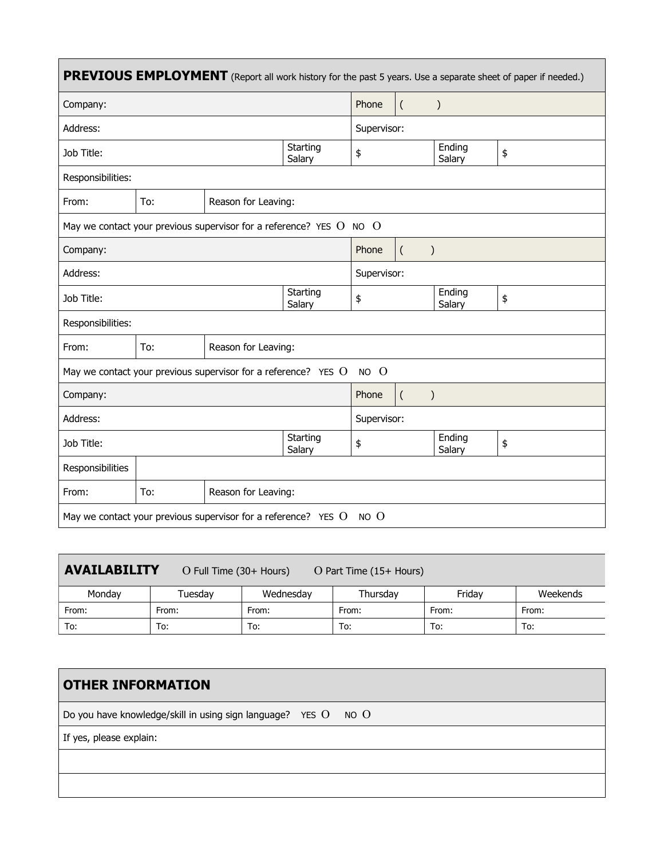| <b>PREVIOUS EMPLOYMENT</b> (Report all work history for the past 5 years. Use a separate sheet of paper if needed.) |                                                                         |                     |       |                           |                  |                  |    |
|---------------------------------------------------------------------------------------------------------------------|-------------------------------------------------------------------------|---------------------|-------|---------------------------|------------------|------------------|----|
| Company:                                                                                                            |                                                                         |                     |       | Phone                     | $\overline{(\ }$ | $\mathcal{E}$    |    |
| Address:                                                                                                            |                                                                         |                     |       | Supervisor:               |                  |                  |    |
| Job Title:                                                                                                          | Starting<br>Salary                                                      |                     |       | \$                        |                  | Ending<br>Salary | \$ |
| Responsibilities:                                                                                                   |                                                                         |                     |       |                           |                  |                  |    |
| From:                                                                                                               | To:<br>Reason for Leaving:                                              |                     |       |                           |                  |                  |    |
| May we contact your previous supervisor for a reference? YES $O$ NO $O$                                             |                                                                         |                     |       |                           |                  |                  |    |
| Company:                                                                                                            |                                                                         |                     | Phone | $\left($<br>$\mathcal{E}$ |                  |                  |    |
| Address:                                                                                                            |                                                                         |                     |       | Supervisor:               |                  |                  |    |
| Starting<br>Job Title:<br>Salary                                                                                    |                                                                         |                     | \$    |                           | Ending<br>Salary | \$               |    |
| Responsibilities:                                                                                                   |                                                                         |                     |       |                           |                  |                  |    |
| From:                                                                                                               | To:                                                                     | Reason for Leaving: |       |                           |                  |                  |    |
| May we contact your previous supervisor for a reference? YES O<br>NO O                                              |                                                                         |                     |       |                           |                  |                  |    |
| Company:                                                                                                            |                                                                         |                     | Phone | $\left($<br>$\mathcal{E}$ |                  |                  |    |
| Address:                                                                                                            |                                                                         |                     |       | Supervisor:               |                  |                  |    |
| Job Title:                                                                                                          | Starting<br>Salary                                                      |                     |       | \$                        |                  | Ending<br>Salary | \$ |
| Responsibilities                                                                                                    |                                                                         |                     |       |                           |                  |                  |    |
| From:                                                                                                               | To:                                                                     | Reason for Leaving: |       |                           |                  |                  |    |
|                                                                                                                     | May we contact your previous supervisor for a reference? YES $O$ NO $O$ |                     |       |                           |                  |                  |    |

| <b>AVAILABILITY</b><br>O Full Time (30+ Hours)<br>$O$ Part Time (15+ Hours) |         |           |          |        |          |  |
|-----------------------------------------------------------------------------|---------|-----------|----------|--------|----------|--|
| Mondav                                                                      | Tuesday | Wednesday | Thursdav | Fridav | Weekends |  |
| From:                                                                       | From:   | From:     | From:    | From:  | From:    |  |
| To:                                                                         | To:     | To:       | To:      | To:    | To:      |  |

| <b>OTHER INFORMATION</b>                                           |
|--------------------------------------------------------------------|
| Do you have knowledge/skill in using sign language? YES $0$ NO $0$ |
| If yes, please explain:                                            |
|                                                                    |
|                                                                    |
|                                                                    |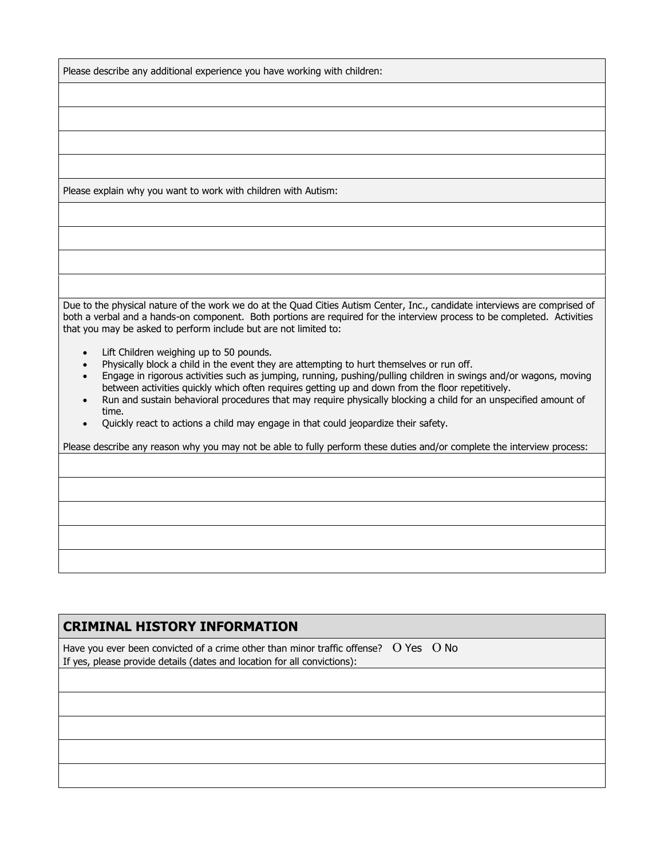Please describe any additional experience you have working with children:

Please explain why you want to work with children with Autism:

Due to the physical nature of the work we do at the Quad Cities Autism Center, Inc., candidate interviews are comprised of both a verbal and a hands-on component. Both portions are required for the interview process to be completed. Activities that you may be asked to perform include but are not limited to:

- Lift Children weighing up to 50 pounds.
- Physically block a child in the event they are attempting to hurt themselves or run off.<br>• Engage in rigorous activities such as jumping, running, pushing/pulling children in swir
- Engage in rigorous activities such as jumping, running, pushing/pulling children in swings and/or wagons, moving between activities quickly which often requires getting up and down from the floor repetitively.
- Run and sustain behavioral procedures that may require physically blocking a child for an unspecified amount of time.
- Quickly react to actions a child may engage in that could jeopardize their safety.

Please describe any reason why you may not be able to fully perform these duties and/or complete the interview process:

### **CRIMINAL HISTORY INFORMATION**

Have you ever been convicted of a crime other than minor traffic offense?  $O$  Yes  $O$  No If yes, please provide details (dates and location for all convictions):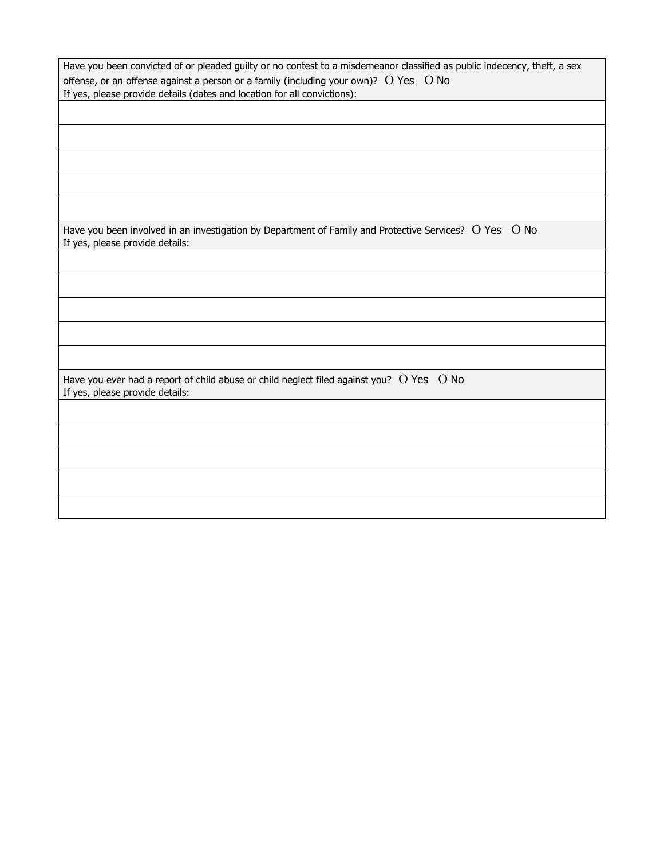| Have you been convicted of or pleaded guilty or no contest to a misdemeanor classified as public indecency, theft, a sex<br>offense, or an offense against a person or a family (including your own)? $O$ Yes $O$ No<br>If yes, please provide details (dates and location for all convictions): |
|--------------------------------------------------------------------------------------------------------------------------------------------------------------------------------------------------------------------------------------------------------------------------------------------------|
|                                                                                                                                                                                                                                                                                                  |
|                                                                                                                                                                                                                                                                                                  |
| Have you been involved in an investigation by Department of Family and Protective Services? O Yes O No<br>If yes, please provide details:                                                                                                                                                        |
|                                                                                                                                                                                                                                                                                                  |
|                                                                                                                                                                                                                                                                                                  |
| Have you ever had a report of child abuse or child neglect filed against you? $O$ Yes $O$ No                                                                                                                                                                                                     |
| If yes, please provide details:                                                                                                                                                                                                                                                                  |
|                                                                                                                                                                                                                                                                                                  |
|                                                                                                                                                                                                                                                                                                  |
|                                                                                                                                                                                                                                                                                                  |